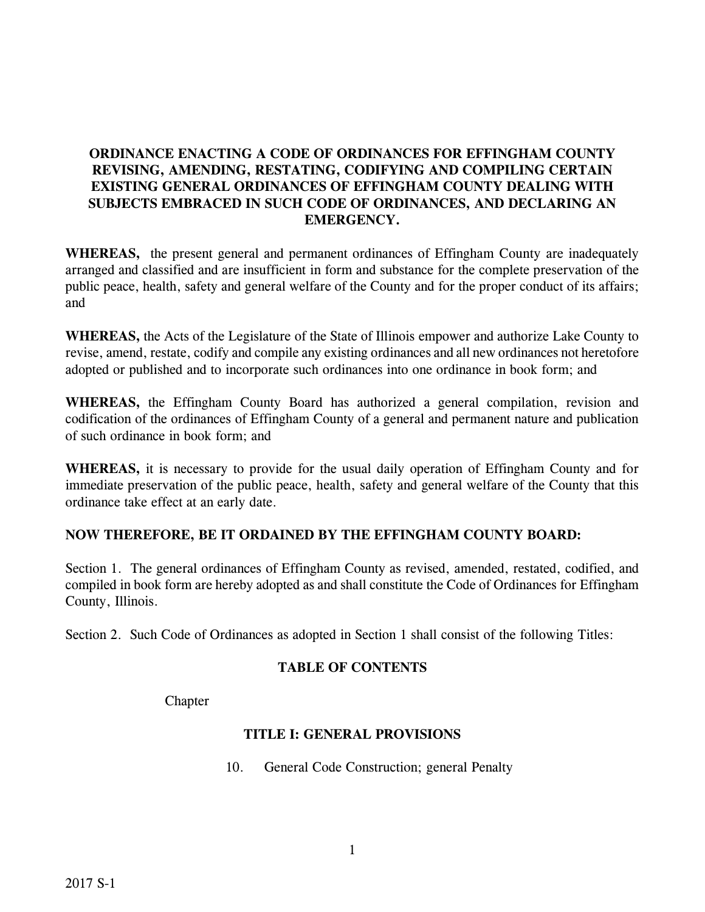# **ORDINANCE ENACTING A CODE OF ORDINANCES FOR EFFINGHAM COUNTY REVISING, AMENDING, RESTATING, CODIFYING AND COMPILING CERTAIN EXISTING GENERAL ORDINANCES OF EFFINGHAM COUNTY DEALING WITH SUBJECTS EMBRACED IN SUCH CODE OF ORDINANCES, AND DECLARING AN EMERGENCY.**

**WHEREAS,** the present general and permanent ordinances of Effingham County are inadequately arranged and classified and are insufficient in form and substance for the complete preservation of the public peace, health, safety and general welfare of the County and for the proper conduct of its affairs; and

**WHEREAS,** the Acts of the Legislature of the State of Illinois empower and authorize Lake County to revise, amend, restate, codify and compile any existing ordinances and all new ordinances not heretofore adopted or published and to incorporate such ordinances into one ordinance in book form; and

**WHEREAS,** the Effingham County Board has authorized a general compilation, revision and codification of the ordinances of Effingham County of a general and permanent nature and publication of such ordinance in book form; and

**WHEREAS,** it is necessary to provide for the usual daily operation of Effingham County and for immediate preservation of the public peace, health, safety and general welfare of the County that this ordinance take effect at an early date.

# **NOW THEREFORE, BE IT ORDAINED BY THE EFFINGHAM COUNTY BOARD:**

Section 1. The general ordinances of Effingham County as revised, amended, restated, codified, and compiled in book form are hereby adopted as and shall constitute the Code of Ordinances for Effingham County, Illinois.

Section 2. Such Code of Ordinances as adopted in Section 1 shall consist of the following Titles:

# **TABLE OF CONTENTS**

**Chapter** 

# **TITLE I: GENERAL PROVISIONS**

10. General Code Construction; general Penalty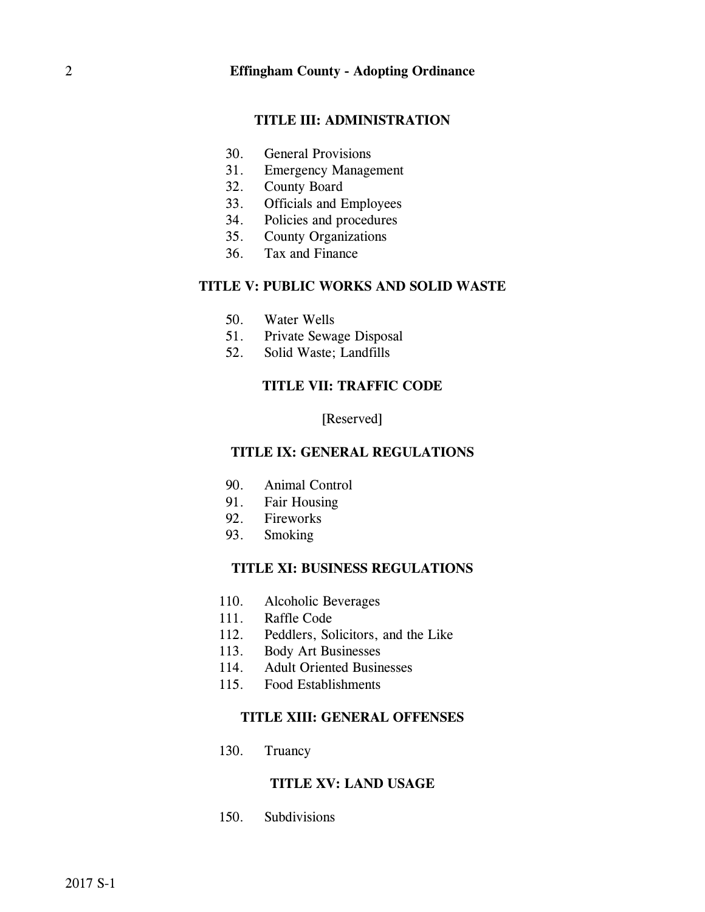#### **TITLE III: ADMINISTRATION**

- 30. General Provisions
- 31. Emergency Management
- 32. County Board
- 33. Officials and Employees
- 34. Policies and procedures
- 35. County Organizations
- 36. Tax and Finance

## **TITLE V: PUBLIC WORKS AND SOLID WASTE**

- 50. Water Wells
- 51. Private Sewage Disposal
- 52. Solid Waste; Landfills

#### **TITLE VII: TRAFFIC CODE**

#### [Reserved]

#### **TITLE IX: GENERAL REGULATIONS**

- 90. Animal Control
- 91. Fair Housing
- 92. Fireworks
- 93. Smoking

### **TITLE XI: BUSINESS REGULATIONS**

- 110. Alcoholic Beverages
- 111. Raffle Code
- 112. Peddlers, Solicitors, and the Like
- 113. Body Art Businesses
- 114. Adult Oriented Businesses
- 115. Food Establishments

## **TITLE XIII: GENERAL OFFENSES**

130. Truancy

#### **TITLE XV: LAND USAGE**

150. Subdivisions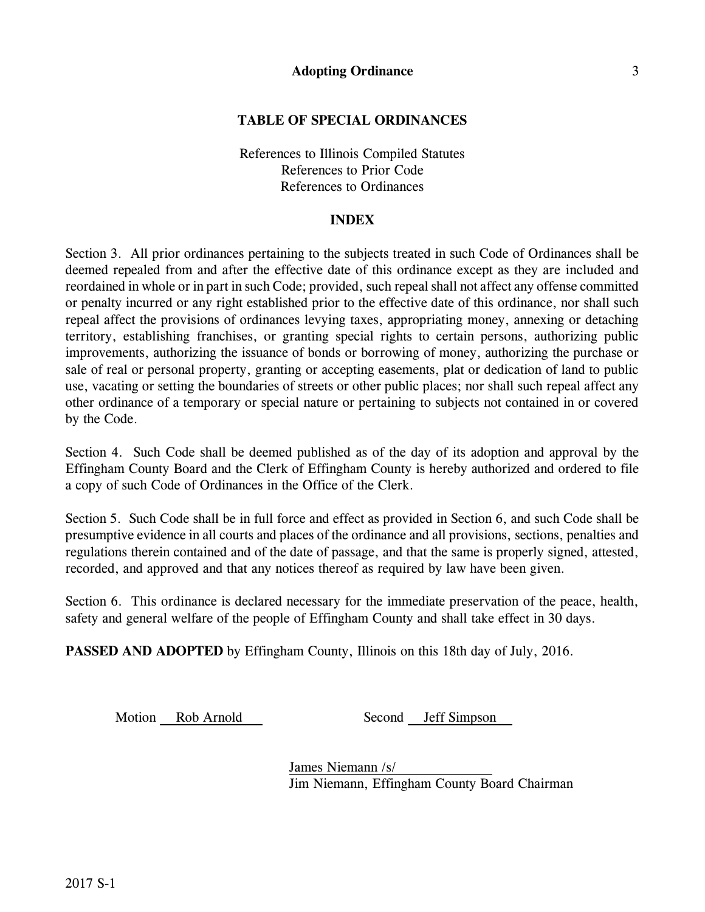## **TABLE OF SPECIAL ORDINANCES**

References to Illinois Compiled Statutes References to Prior Code References to Ordinances

#### **INDEX**

Section 3. All prior ordinances pertaining to the subjects treated in such Code of Ordinances shall be deemed repealed from and after the effective date of this ordinance except as they are included and reordained in whole or in part in such Code; provided, such repeal shall not affect any offense committed or penalty incurred or any right established prior to the effective date of this ordinance, nor shall such repeal affect the provisions of ordinances levying taxes, appropriating money, annexing or detaching territory, establishing franchises, or granting special rights to certain persons, authorizing public improvements, authorizing the issuance of bonds or borrowing of money, authorizing the purchase or sale of real or personal property, granting or accepting easements, plat or dedication of land to public use, vacating or setting the boundaries of streets or other public places; nor shall such repeal affect any other ordinance of a temporary or special nature or pertaining to subjects not contained in or covered by the Code.

Section 4. Such Code shall be deemed published as of the day of its adoption and approval by the Effingham County Board and the Clerk of Effingham County is hereby authorized and ordered to file a copy of such Code of Ordinances in the Office of the Clerk.

Section 5. Such Code shall be in full force and effect as provided in Section 6, and such Code shall be presumptive evidence in all courts and places of the ordinance and all provisions, sections, penalties and regulations therein contained and of the date of passage, and that the same is properly signed, attested, recorded, and approved and that any notices thereof as required by law have been given.

Section 6. This ordinance is declared necessary for the immediate preservation of the peace, health, safety and general welfare of the people of Effingham County and shall take effect in 30 days.

**PASSED AND ADOPTED** by Effingham County, Illinois on this 18th day of July, 2016.

Motion Rob Arnold Second Jeff Simpson

James Niemann /s/ Jim Niemann, Effingham County Board Chairman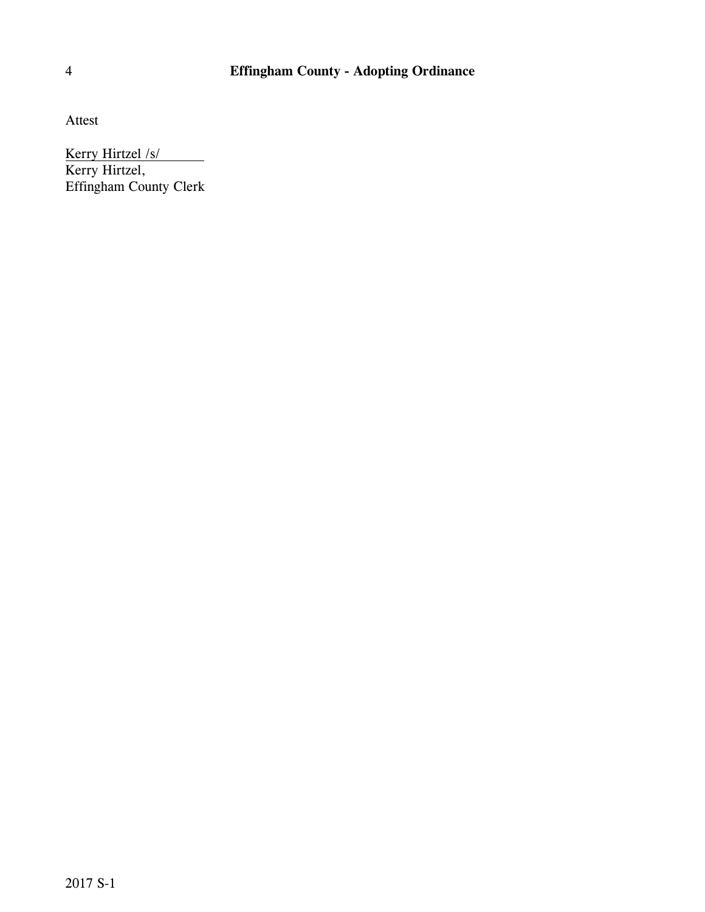# 4 **Effingham County - Adopting Ordinance**

Attest

Kerry Hirtzel /s/

Kerry Hirtzel, Effingham County Clerk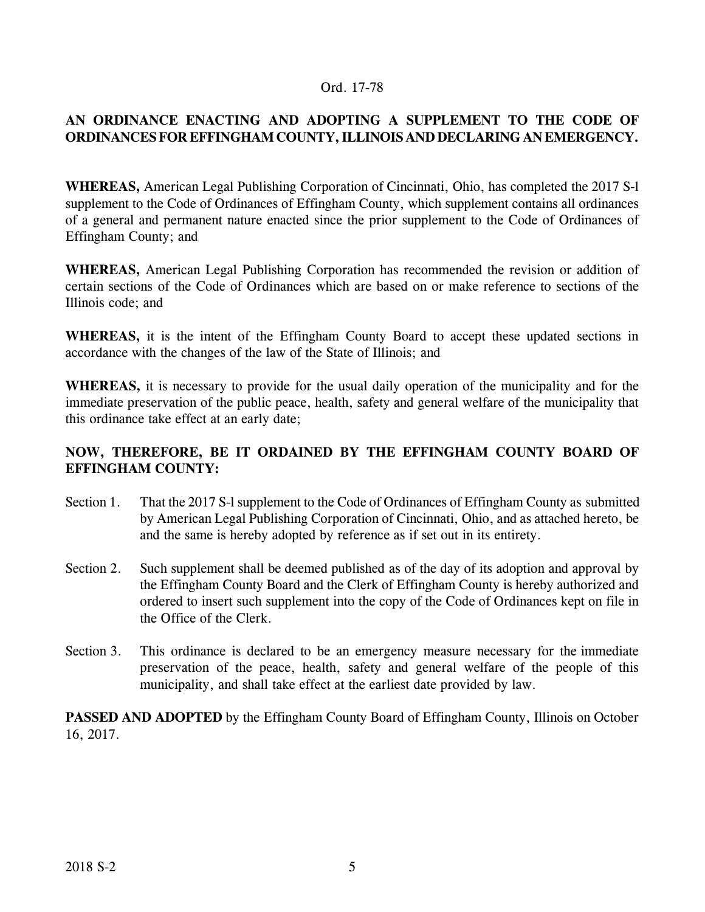## Ord. 17-78

# **AN ORDINANCE ENACTING AND ADOPTING A SUPPLEMENT TO THE CODE OF ORDINANCES FOR EFFINGHAM COUNTY,ILLINOIS AND DECLARING AN EMERGENCY.**

**WHEREAS,** American Legal Publishing Corporation of Cincinnati, Ohio, has completed the 2017 S-l supplement to the Code of Ordinances of Effingham County, which supplement contains all ordinances of a general and permanent nature enacted since the prior supplement to the Code of Ordinances of Effingham County; and

**WHEREAS,** American Legal Publishing Corporation has recommended the revision or addition of certain sections of the Code of Ordinances which are based on or make reference to sections of the Illinois code; and

**WHEREAS,** it is the intent of the Effingham County Board to accept these updated sections in accordance with the changes of the law of the State of Illinois; and

**WHEREAS,** it is necessary to provide for the usual daily operation of the municipality and for the immediate preservation of the public peace, health, safety and general welfare of the municipality that this ordinance take effect at an early date;

# **NOW, THEREFORE, BE IT ORDAINED BY THE EFFINGHAM COUNTY BOARD OF EFFINGHAM COUNTY:**

- Section 1. That the 2017 S-l supplement to the Code of Ordinances of Effingham County as submitted by American Legal Publishing Corporation of Cincinnati, Ohio, and as attached hereto, be and the same is hereby adopted by reference as if set out in its entirety.
- Section 2. Such supplement shall be deemed published as of the day of its adoption and approval by the Effingham County Board and the Clerk of Effingham County is hereby authorized and ordered to insert such supplement into the copy of the Code of Ordinances kept on file in the Office of the Clerk.
- Section 3. This ordinance is declared to be an emergency measure necessary for the immediate preservation of the peace, health, safety and general welfare of the people of this municipality, and shall take effect at the earliest date provided by law.

**PASSED AND ADOPTED** by the Effingham County Board of Effingham County, Illinois on October 16, 2017.